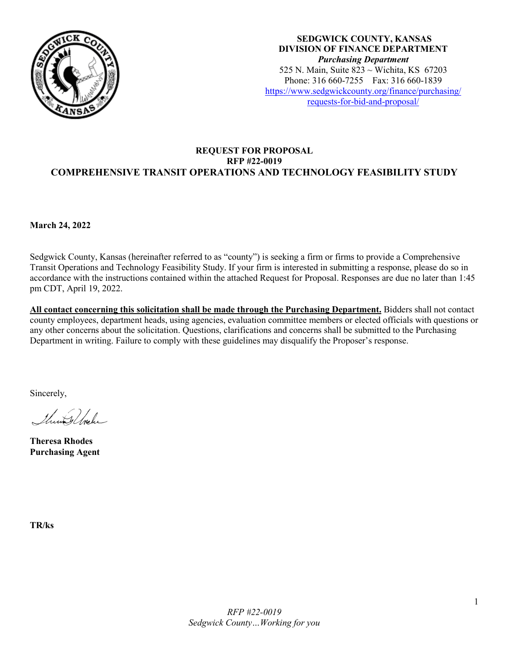

**SEDGWICK COUNTY, KANSAS DIVISION OF FINANCE DEPARTMENT** *Purchasing Department* 525 N. Main, Suite  $823 \sim$  Wichita, KS 67203 Phone: 316 660-7255 Fax: 316 660-1839 [https://www.sedgwickcounty.org/finance/purchasing/](https://www.sedgwickcounty.org/finance/purchasing/requests-for-bid-and-proposal/)  [requests-for-bid-and-proposal/](https://www.sedgwickcounty.org/finance/purchasing/requests-for-bid-and-proposal/)

### **REQUEST FOR PROPOSAL RFP #22-0019 COMPREHENSIVE TRANSIT OPERATIONS AND TECHNOLOGY FEASIBILITY STUDY**

**March 24, 2022** 

Sedgwick County, Kansas (hereinafter referred to as "county") is seeking a firm or firms to provide a Comprehensive Transit Operations and Technology Feasibility Study. If your firm is interested in submitting a response, please do so in accordance with the instructions contained within the attached Request for Proposal. Responses are due no later than 1:45 pm CDT, April 19, 2022.

**All contact concerning this solicitation shall be made through the Purchasing Department.** Bidders shall not contact county employees, department heads, using agencies, evaluation committee members or elected officials with questions or any other concerns about the solicitation. Questions, clarifications and concerns shall be submitted to the Purchasing Department in writing. Failure to comply with these guidelines may disqualify the Proposer's response.

Sincerely,

there when

**Theresa Rhodes Purchasing Agent**

**TR/ks**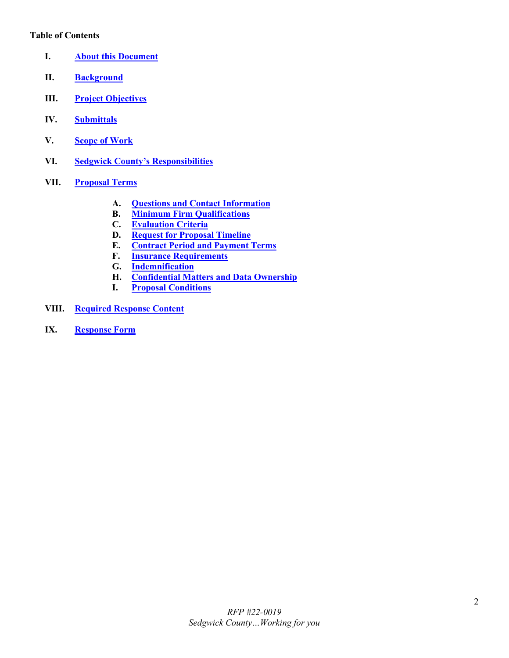#### **Table of Contents**

- <span id="page-1-0"></span>**I. [About this Document](#page-2-0)**
- <span id="page-1-1"></span>**II. [Background](#page-2-1)**
- <span id="page-1-2"></span>**III. [Project Objectives](#page-2-2)**
- <span id="page-1-3"></span>**IV. [Submittals](#page-2-3)**
- <span id="page-1-4"></span>**V. [Scope of Work](#page-3-0)**
- <span id="page-1-5"></span>**VI. [Sedgwick County's Responsibilities](#page-4-0)**
- <span id="page-1-10"></span><span id="page-1-9"></span><span id="page-1-8"></span><span id="page-1-7"></span><span id="page-1-6"></span>**VII. [Proposal Terms](#page-4-1)**
	- **A. [Questions and Contact Information](#page-4-2)**
	- **B. [Minimum Firm Qualifications](#page-4-3)**
	- **[Evaluation Criteria](#page-5-0)**
	- **D. [Request for Proposal Timeline](#page-5-1)**
	- **E. [Contract Period and Payment Terms](#page-6-0)**
	- **F. [Insurance Requirements](#page-6-1)**
	- **G. [Indemnification](#page-7-0)**
	- **H. [Confidential Matters and Data Ownership](#page-7-1)**
	- **I. [Proposal Conditions](#page-8-0)**
- <span id="page-1-14"></span><span id="page-1-13"></span><span id="page-1-12"></span><span id="page-1-11"></span>**VIII. [Required Response Content](#page-8-1)**
- <span id="page-1-15"></span>**IX. [Response Form](#page-9-0)**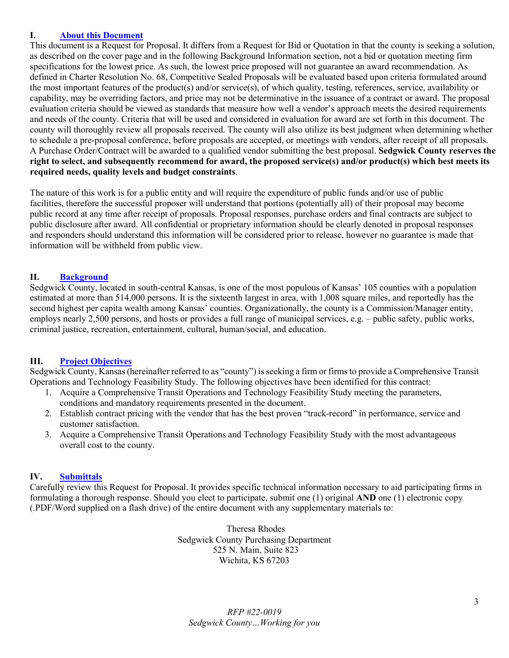#### <span id="page-2-0"></span>**I. [About this Document](#page-1-0)**

This document is a Request for Proposal. It differs from a Request for Bid or Quotation in that the county is seeking a solution, as described on the cover page and in the following Background Information section, not a bid or quotation meeting firm specifications for the lowest price. As such, the lowest price proposed will not guarantee an award recommendation. As defined in Charter Resolution No. 68, Competitive Sealed Proposals will be evaluated based upon criteria formulated around the most important features of the product(s) and/or service(s), of which quality, testing, references, service, availability or capability, may be overriding factors, and price may not be determinative in the issuance of a contract or award. The proposal evaluation criteria should be viewed as standards that measure how well a vendor's approach meets the desired requirements and needs of the county. Criteria that will be used and considered in evaluation for award are set forth in this document. The county will thoroughly review all proposals received. The county will also utilize its best judgment when determining whether to schedule a pre-proposal conference, before proposals are accepted, or meetings with vendors, after receipt of all proposals. A Purchase Order/Contract will be awarded to a qualified vendor submitting the best proposal. **Sedgwick County reserves the right to select, and subsequently recommend for award, the proposed service(s) and/or product(s) which best meets its required needs, quality levels and budget constraints**.

The nature of this work is for a public entity and will require the expenditure of public funds and/or use of public facilities, therefore the successful proposer will understand that portions (potentially all) of their proposal may become public record at any time after receipt of proposals. Proposal responses, purchase orders and final contracts are subject to public disclosure after award. All confidential or proprietary information should be clearly denoted in proposal responses and responders should understand this information will be considered prior to release, however no guarantee is made that information will be withheld from public view.

# <span id="page-2-1"></span>**II. [Background](#page-1-1)**

Sedgwick County, located in south-central Kansas, is one of the most populous of Kansas' 105 counties with a population estimated at more than 514,000 persons. It is the sixteenth largest in area, with 1,008 square miles, and reportedly has the second highest per capita wealth among Kansas' counties. Organizationally, the county is a Commission/Manager entity, employs nearly 2,500 persons, and hosts or provides a full range of municipal services, e.g. – public safety, public works, criminal justice, recreation, entertainment, cultural, human/social, and education.

# <span id="page-2-2"></span>**III. [Project Objectives](#page-1-2)**

Sedgwick County, Kansas (hereinafter referred to as "county") is seeking a firm or firms to provide a Comprehensive Transit Operations and Technology Feasibility Study. The following objectives have been identified for this contract:

- 1. Acquire a Comprehensive Transit Operations and Technology Feasibility Study meeting the parameters, conditions and mandatory requirements presented in the document.
- 2. Establish contract pricing with the vendor that has the best proven "track-record" in performance, service and customer satisfaction.
- 3. Acquire a Comprehensive Transit Operations and Technology Feasibility Study with the most advantageous overall cost to the county.

# <span id="page-2-3"></span>**IV. [Submittals](#page-1-3)**

Carefully review this Request for Proposal. It provides specific technical information necessary to aid participating firms in formulating a thorough response. Should you elect to participate, submit one (1) original **AND** one (1) electronic copy (.PDF/Word supplied on a flash drive) of the entire document with any supplementary materials to:

> Theresa Rhodes Sedgwick County Purchasing Department 525 N. Main, Suite 823 Wichita, KS 67203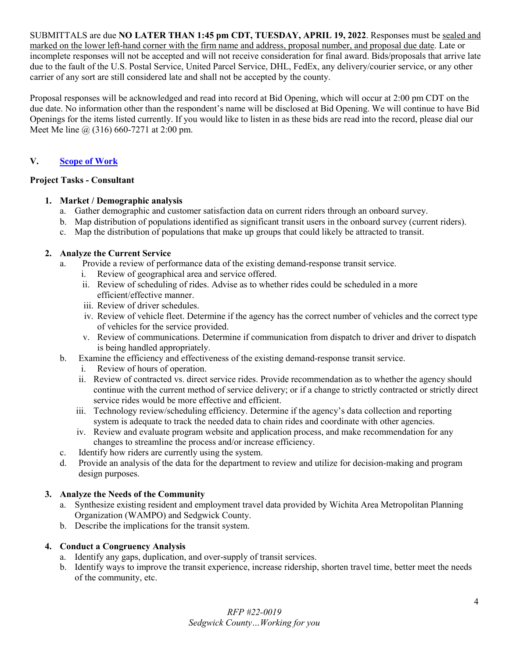SUBMITTALS are due **NO LATER THAN 1:45 pm CDT, TUESDAY, APRIL 19, 2022**. Responses must be sealed and marked on the lower left-hand corner with the firm name and address, proposal number, and proposal due date. Late or incomplete responses will not be accepted and will not receive consideration for final award. Bids/proposals that arrive late due to the fault of the U.S. Postal Service, United Parcel Service, DHL, FedEx, any delivery/courier service, or any other carrier of any sort are still considered late and shall not be accepted by the county.

Proposal responses will be acknowledged and read into record at Bid Opening, which will occur at 2:00 pm CDT on the due date. No information other than the respondent's name will be disclosed at Bid Opening. We will continue to have Bid Openings for the items listed currently. If you would like to listen in as these bids are read into the record, please dial our Meet Me line @ (316) 660-7271 at 2:00 pm.

# <span id="page-3-0"></span>**V. [Scope of Work](#page-1-4)**

# **Project Tasks - Consultant**

# **1. Market / Demographic analysis**

- a. Gather demographic and customer satisfaction data on current riders through an onboard survey.
- b. Map distribution of populations identified as significant transit users in the onboard survey (current riders).
- c. Map the distribution of populations that make up groups that could likely be attracted to transit.

# **2. Analyze the Current Service**

- a. Provide a review of performance data of the existing demand-response transit service.
	- i. Review of geographical area and service offered.
	- ii. Review of scheduling of rides. Advise as to whether rides could be scheduled in a more efficient/effective manner.
	- iii. Review of driver schedules.
	- iv. Review of vehicle fleet. Determine if the agency has the correct number of vehicles and the correct type of vehicles for the service provided.
	- v. Review of communications. Determine if communication from dispatch to driver and driver to dispatch is being handled appropriately.
- b. Examine the efficiency and effectiveness of the existing demand-response transit service.
	- i. Review of hours of operation.
	- ii. Review of contracted vs. direct service rides. Provide recommendation as to whether the agency should continue with the current method of service delivery; or if a change to strictly contracted or strictly direct service rides would be more effective and efficient.
	- iii. Technology review/scheduling efficiency. Determine if the agency's data collection and reporting system is adequate to track the needed data to chain rides and coordinate with other agencies.
	- iv. Review and evaluate program website and application process, and make recommendation for any changes to streamline the process and/or increase efficiency.
- c. Identify how riders are currently using the system.
- d. Provide an analysis of the data for the department to review and utilize for decision-making and program design purposes.

# **3. Analyze the Needs of the Community**

- a. Synthesize existing resident and employment travel data provided by Wichita Area Metropolitan Planning Organization (WAMPO) and Sedgwick County.
- b. Describe the implications for the transit system.

# **4. Conduct a Congruency Analysis**

- a. Identify any gaps, duplication, and over-supply of transit services.
- b. Identify ways to improve the transit experience, increase ridership, shorten travel time, better meet the needs of the community, etc.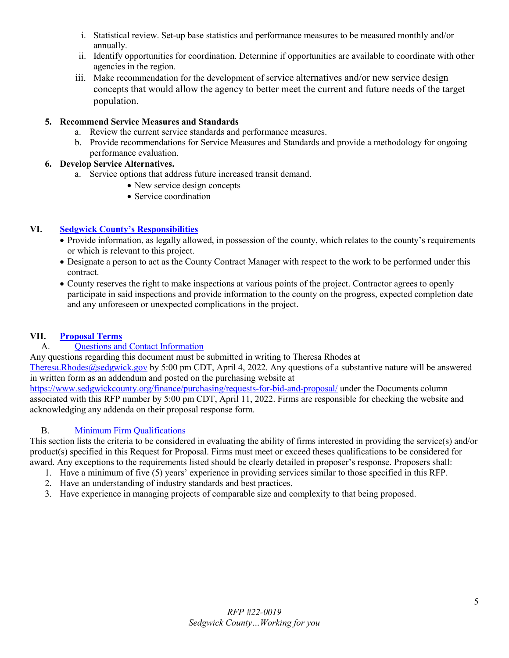- i. Statistical review. Set-up base statistics and performance measures to be measured monthly and/or annually.
- ii. Identify opportunities for coordination. Determine if opportunities are available to coordinate with other agencies in the region.
- iii. Make recommendation for the development of service alternatives and/or new service design concepts that would allow the agency to better meet the current and future needs of the target population.

# **5. Recommend Service Measures and Standards**

- a. Review the current service standards and performance measures.
- b. Provide recommendations for Service Measures and Standards and provide a methodology for ongoing performance evaluation.

# **6. Develop Service Alternatives.**

- a. Service options that address future increased transit demand.
	- New service design concepts
	- Service coordination

# **VI. [Sedgwick County's Responsibilities](#page-1-5)**

- <span id="page-4-0"></span>• Provide information, as legally allowed, in possession of the county, which relates to the county's requirements or which is relevant to this project.
- Designate a person to act as the County Contract Manager with respect to the work to be performed under this contract.
- County reserves the right to make inspections at various points of the project. Contractor agrees to openly participate in said inspections and provide information to the county on the progress, expected completion date and any unforeseen or unexpected complications in the project.

# <span id="page-4-2"></span>**VII. [Proposal Terms](#page-1-6)**

# <span id="page-4-1"></span>A. [Questions and Contact Information](#page-1-7)

Any questions regarding this document must be submitted in writing to Theresa Rhodes at

[Theresa.Rhodes@sedgwick.gov](mailto:Theresa.Rhodes@sedgwick.gov) by 5:00 pm CDT, April 4, 2022. Any questions of a substantive nature will be answered in written form as an addendum and posted on the purchasing website at

<https://www.sedgwickcounty.org/finance/purchasing/requests-for-bid-and-proposal/>under the Documents column associated with this RFP number by 5:00 pm CDT, April 11, 2022. Firms are responsible for checking the website and acknowledging any addenda on their proposal response form.

# <span id="page-4-3"></span>B. Minimum [Firm Qualifications](#page-1-8)

This section lists the criteria to be considered in evaluating the ability of firms interested in providing the service(s) and/or product(s) specified in this Request for Proposal. Firms must meet or exceed theses qualifications to be considered for award. Any exceptions to the requirements listed should be clearly detailed in proposer's response. Proposers shall:

- 1. Have a minimum of five (5) years' experience in providing services similar to those specified in this RFP.
- 2. Have an understanding of industry standards and best practices.
- 3. Have experience in managing projects of comparable size and complexity to that being proposed.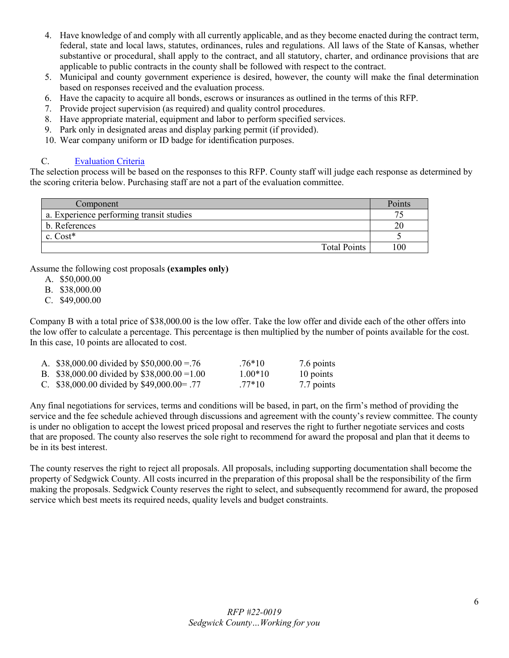- 4. Have knowledge of and comply with all currently applicable, and as they become enacted during the contract term, federal, state and local laws, statutes, ordinances, rules and regulations. All laws of the State of Kansas, whether substantive or procedural, shall apply to the contract, and all statutory, charter, and ordinance provisions that are applicable to public contracts in the county shall be followed with respect to the contract.
- 5. Municipal and county government experience is desired, however, the county will make the final determination based on responses received and the evaluation process.
- 6. Have the capacity to acquire all bonds, escrows or insurances as outlined in the terms of this RFP.
- 7. Provide project supervision (as required) and quality control procedures.
- 8. Have appropriate material, equipment and labor to perform specified services.
- 9. Park only in designated areas and display parking permit (if provided).
- 10. Wear company uniform or ID badge for identification purposes.

#### <span id="page-5-0"></span>C. [Evaluation Criteria](#page-1-9)

The selection process will be based on the responses to this RFP. County staff will judge each response as determined by the scoring criteria below. Purchasing staff are not a part of the evaluation committee.

| Component                                | Points |
|------------------------------------------|--------|
| a. Experience performing transit studies |        |
| b. References                            |        |
| $c.$ Cost $*$                            |        |
| <b>Total Points</b>                      | .00    |

Assume the following cost proposals **(examples only)**

- A. \$50,000.00
- B. \$38,000.00
- C. \$49,000.00

Company B with a total price of \$38,000.00 is the low offer. Take the low offer and divide each of the other offers into the low offer to calculate a percentage. This percentage is then multiplied by the number of points available for the cost. In this case, 10 points are allocated to cost.

| A. \$38,000.00 divided by \$50,000.00 = .76  | $.76*10$  | 7.6 points |
|----------------------------------------------|-----------|------------|
| B. \$38,000.00 divided by \$38,000.00 = 1.00 | $1.00*10$ | 10 points  |
| C. \$38,000.00 divided by \$49,000.00= .77   | $.77*10$  | 7.7 points |

Any final negotiations for services, terms and conditions will be based, in part, on the firm's method of providing the service and the fee schedule achieved through discussions and agreement with the county's review committee. The county is under no obligation to accept the lowest priced proposal and reserves the right to further negotiate services and costs that are proposed. The county also reserves the sole right to recommend for award the proposal and plan that it deems to be in its best interest.

<span id="page-5-1"></span>The county reserves the right to reject all proposals. All proposals, including supporting documentation shall become the property of Sedgwick County. All costs incurred in the preparation of this proposal shall be the responsibility of the firm making the proposals. Sedgwick County reserves the right to select, and subsequently recommend for award, the proposed service which best meets its required needs, quality levels and budget constraints.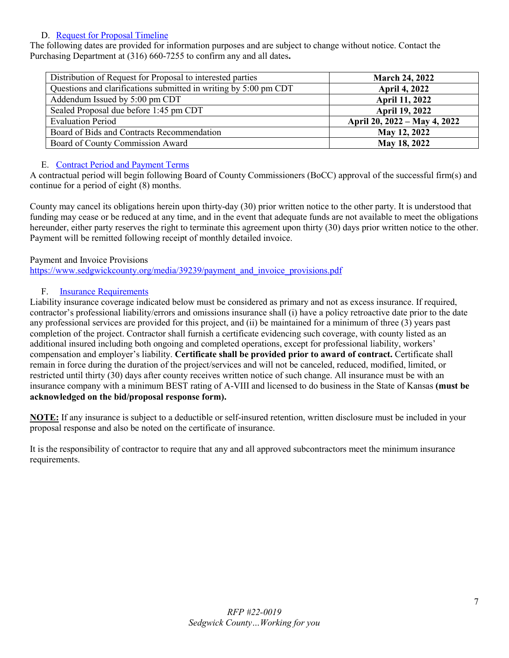# D. [Request for Proposal Timeline](#page-1-9)

The following dates are provided for information purposes and are subject to change without notice. Contact the Purchasing Department at (316) 660-7255 to confirm any and all dates**.** 

| Distribution of Request for Proposal to interested parties       | <b>March 24, 2022</b>        |
|------------------------------------------------------------------|------------------------------|
| Questions and clarifications submitted in writing by 5:00 pm CDT | <b>April 4, 2022</b>         |
| Addendum Issued by 5:00 pm CDT                                   | <b>April 11, 2022</b>        |
| Sealed Proposal due before 1:45 pm CDT                           | <b>April 19, 2022</b>        |
| <b>Evaluation Period</b>                                         | April 20, 2022 – May 4, 2022 |
| Board of Bids and Contracts Recommendation                       | May 12, 2022                 |
| Board of County Commission Award                                 | May 18, 2022                 |

# <span id="page-6-0"></span>E. [Contract Period and Payment Terms](#page-1-10)

A contractual period will begin following Board of County Commissioners (BoCC) approval of the successful firm(s) and continue for a period of eight (8) months.

County may cancel its obligations herein upon thirty-day (30) prior written notice to the other party. It is understood that funding may cease or be reduced at any time, and in the event that adequate funds are not available to meet the obligations hereunder, either party reserves the right to terminate this agreement upon thirty (30) days prior written notice to the other. Payment will be remitted following receipt of monthly detailed invoice.

Payment and Invoice Provisions

[https://www.sedgwickcounty.org/media/39239/payment\\_and\\_invoice\\_provisions.pdf](https://www.sedgwickcounty.org/media/39239/payment_and_invoice_provisions.pdf)

# <span id="page-6-1"></span>F. [Insurance Requirements](#page-1-11)

Liability insurance coverage indicated below must be considered as primary and not as excess insurance. If required, contractor's professional liability/errors and omissions insurance shall (i) have a policy retroactive date prior to the date any professional services are provided for this project, and (ii) be maintained for a minimum of three (3) years past completion of the project. Contractor shall furnish a certificate evidencing such coverage, with county listed as an additional insured including both ongoing and completed operations, except for professional liability, workers' compensation and employer's liability. **Certificate shall be provided prior to award of contract.** Certificate shall remain in force during the duration of the project/services and will not be canceled, reduced, modified, limited, or restricted until thirty (30) days after county receives written notice of such change. All insurance must be with an insurance company with a minimum BEST rating of A-VIII and licensed to do business in the State of Kansas **(must be acknowledged on the bid/proposal response form).**

**NOTE:** If any insurance is subject to a deductible or self-insured retention, written disclosure must be included in your proposal response and also be noted on the certificate of insurance.

It is the responsibility of contractor to require that any and all approved subcontractors meet the minimum insurance requirements.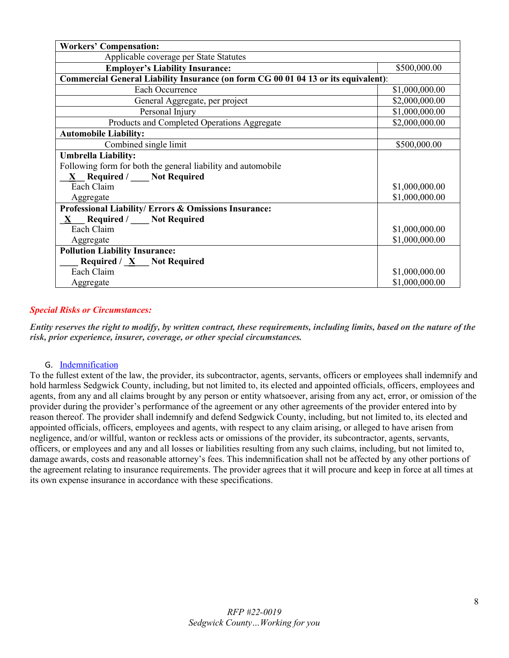| <b>Workers' Compensation:</b>                                                      |                |  |  |
|------------------------------------------------------------------------------------|----------------|--|--|
| Applicable coverage per State Statutes                                             |                |  |  |
| <b>Employer's Liability Insurance:</b>                                             | \$500,000.00   |  |  |
| Commercial General Liability Insurance (on form CG 00 01 04 13 or its equivalent): |                |  |  |
| Each Occurrence                                                                    | \$1,000,000.00 |  |  |
| General Aggregate, per project                                                     | \$2,000,000.00 |  |  |
| Personal Injury                                                                    | \$1,000,000.00 |  |  |
| Products and Completed Operations Aggregate                                        | \$2,000,000.00 |  |  |
| <b>Automobile Liability:</b>                                                       |                |  |  |
| Combined single limit                                                              | \$500,000.00   |  |  |
| <b>Umbrella Liability:</b>                                                         |                |  |  |
| Following form for both the general liability and automobile                       |                |  |  |
| $\underline{X}$ Required / Not Required                                            |                |  |  |
| Each Claim                                                                         | \$1,000,000.00 |  |  |
| Aggregate                                                                          | \$1,000,000.00 |  |  |
| Professional Liability/ Errors & Omissions Insurance:                              |                |  |  |
| $\underline{X}$ Required / Not Required                                            |                |  |  |
| Each Claim                                                                         | \$1,000,000.00 |  |  |
| Aggregate                                                                          | \$1,000,000.00 |  |  |
| <b>Pollution Liability Insurance:</b>                                              |                |  |  |
| Required / $\underline{X}$ Not Required                                            |                |  |  |
| Each Claim                                                                         | \$1,000,000.00 |  |  |
| Aggregate                                                                          | \$1,000,000.00 |  |  |

# *Special Risks or Circumstances:*

*Entity reserves the right to modify, by written contract, these requirements, including limits, based on the nature of the risk, prior experience, insurer, coverage, or other special circumstances.*

#### <span id="page-7-0"></span>G. [Indemnification](#page-1-12)

<span id="page-7-1"></span>To the fullest extent of the law, the provider, its subcontractor, agents, servants, officers or employees shall indemnify and hold harmless Sedgwick County, including, but not limited to, its elected and appointed officials, officers, employees and agents, from any and all claims brought by any person or entity whatsoever, arising from any act, error, or omission of the provider during the provider's performance of the agreement or any other agreements of the provider entered into by reason thereof. The provider shall indemnify and defend Sedgwick County, including, but not limited to, its elected and appointed officials, officers, employees and agents, with respect to any claim arising, or alleged to have arisen from negligence, and/or willful, wanton or reckless acts or omissions of the provider, its subcontractor, agents, servants, officers, or employees and any and all losses or liabilities resulting from any such claims, including, but not limited to, damage awards, costs and reasonable attorney's fees. This indemnification shall not be affected by any other portions of the agreement relating to insurance requirements. The provider agrees that it will procure and keep in force at all times at its own expense insurance in accordance with these specifications.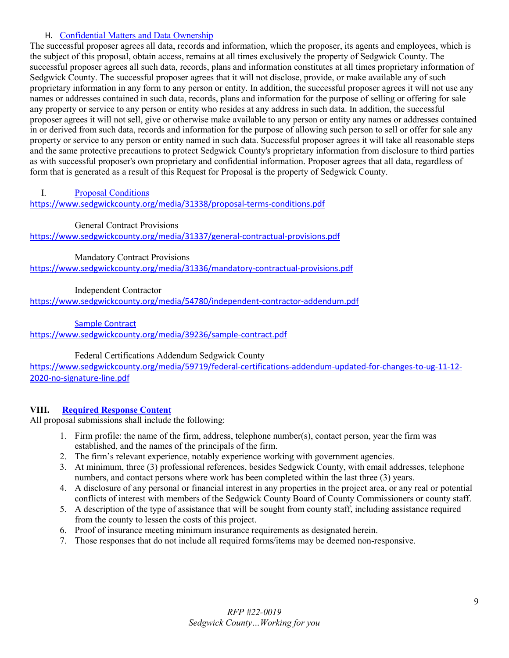#### H. [Confidential Matters and Data Ownership](#page-1-13)

The successful proposer agrees all data, records and information, which the proposer, its agents and employees, which is the subject of this proposal, obtain access, remains at all times exclusively the property of Sedgwick County. The successful proposer agrees all such data, records, plans and information constitutes at all times proprietary information of Sedgwick County. The successful proposer agrees that it will not disclose, provide, or make available any of such proprietary information in any form to any person or entity. In addition, the successful proposer agrees it will not use any names or addresses contained in such data, records, plans and information for the purpose of selling or offering for sale any property or service to any person or entity who resides at any address in such data. In addition, the successful proposer agrees it will not sell, give or otherwise make available to any person or entity any names or addresses contained in or derived from such data, records and information for the purpose of allowing such person to sell or offer for sale any property or service to any person or entity named in such data. Successful proposer agrees it will take all reasonable steps and the same protective precautions to protect Sedgwick County's proprietary information from disclosure to third parties as with successful proposer's own proprietary and confidential information. Proposer agrees that all data, regardless of form that is generated as a result of this Request for Proposal is the property of Sedgwick County.

I. Proposal Conditions

<https://www.sedgwickcounty.org/media/31338/proposal-terms-conditions.pdf>

<span id="page-8-0"></span>General Contract Provisions

<https://www.sedgwickcounty.org/media/31337/general-contractual-provisions.pdf>

Mandatory Contract Provisions

<https://www.sedgwickcounty.org/media/31336/mandatory-contractual-provisions.pdf>

Independent Contractor

<https://www.sedgwickcounty.org/media/54780/independent-contractor-addendum.pdf>

Sample Contract

<https://www.sedgwickcounty.org/media/39236/sample-contract.pdf>

Federal Certifications Addendum Sedgwick County

[https://www.sedgwickcounty.org/media/59719/federal-certifications-addendum-updated-for-changes-to-ug-11-12-](https://www.sedgwickcounty.org/media/59719/federal-certifications-addendum-updated-for-changes-to-ug-11-12-2020-no-signature-line.pdf) [2020-no-signature-line.pdf](https://www.sedgwickcounty.org/media/59719/federal-certifications-addendum-updated-for-changes-to-ug-11-12-2020-no-signature-line.pdf)

# <span id="page-8-1"></span>**VIII. [Required Response Content](#page-1-14)**

All proposal submissions shall include the following:

- 1. Firm profile: the name of the firm, address, telephone number(s), contact person, year the firm was established, and the names of the principals of the firm.
- 2. The firm's relevant experience, notably experience working with government agencies.
- 3. At minimum, three (3) professional references, besides Sedgwick County, with email addresses, telephone numbers, and contact persons where work has been completed within the last three (3) years.
- 4. A disclosure of any personal or financial interest in any properties in the project area, or any real or potential conflicts of interest with members of the Sedgwick County Board of County Commissioners or county staff.
- 5. A description of the type of assistance that will be sought from county staff, including assistance required from the county to lessen the costs of this project.
- 6. Proof of insurance meeting minimum insurance requirements as designated herein.
- 7. Those responses that do not include all required forms/items may be deemed non-responsive.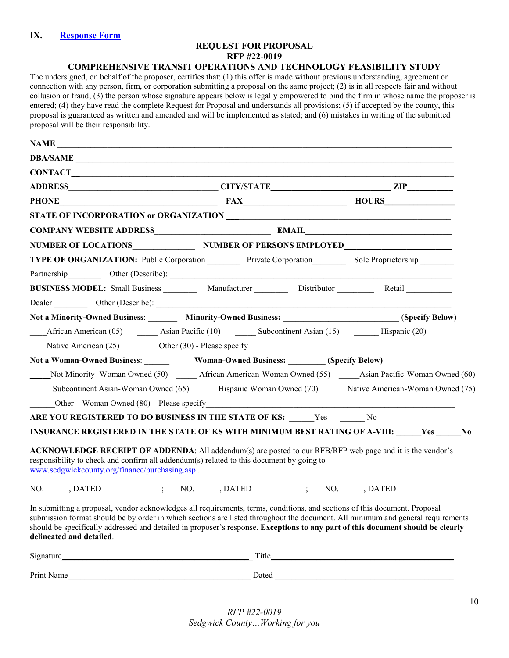#### **REQUEST FOR PROPOSAL RFP #22-0019**

#### <span id="page-9-0"></span>**COMPREHENSIVE TRANSIT OPERATIONS AND TECHNOLOGY FEASIBILITY STUDY**

The undersigned, on behalf of the proposer, certifies that: (1) this offer is made without previous understanding, agreement or connection with any person, firm, or corporation submitting a proposal on the same project; (2) is in all respects fair and without collusion or fraud; (3) the person whose signature appears below is legally empowered to bind the firm in whose name the proposer is entered; (4) they have read the complete Request for Proposal and understands all provisions; (5) if accepted by the county, this proposal is guaranteed as written and amended and will be implemented as stated; and (6) mistakes in writing of the submitted proposal will be their responsibility.

| <b>NAME</b>                                                                                                                                                                                                                                                                                                                                                                                                                  |                                                                                                                                                                                                                               |  |
|------------------------------------------------------------------------------------------------------------------------------------------------------------------------------------------------------------------------------------------------------------------------------------------------------------------------------------------------------------------------------------------------------------------------------|-------------------------------------------------------------------------------------------------------------------------------------------------------------------------------------------------------------------------------|--|
| DBA/SAME                                                                                                                                                                                                                                                                                                                                                                                                                     |                                                                                                                                                                                                                               |  |
| CONTACT                                                                                                                                                                                                                                                                                                                                                                                                                      |                                                                                                                                                                                                                               |  |
|                                                                                                                                                                                                                                                                                                                                                                                                                              |                                                                                                                                                                                                                               |  |
| PHONE HOURS HOURS                                                                                                                                                                                                                                                                                                                                                                                                            |                                                                                                                                                                                                                               |  |
|                                                                                                                                                                                                                                                                                                                                                                                                                              |                                                                                                                                                                                                                               |  |
|                                                                                                                                                                                                                                                                                                                                                                                                                              |                                                                                                                                                                                                                               |  |
| NUMBER OF LOCATIONS NUMBER OF PERSONS EMPLOYED                                                                                                                                                                                                                                                                                                                                                                               |                                                                                                                                                                                                                               |  |
| TYPE OF ORGANIZATION: Public Corporation Private Corporation Sole Proprietorship                                                                                                                                                                                                                                                                                                                                             |                                                                                                                                                                                                                               |  |
| Partnership Other (Describe): 1999. Contact Contact Contact Contact Contact Contact Contact Contact Contact Contact Contact Contact Contact Contact Contact Contact Contact Contact Contact Contact Contact Contact Contact Co                                                                                                                                                                                               |                                                                                                                                                                                                                               |  |
| BUSINESS MODEL: Small Business __________ Manufacturer ___________ Distributor _________ Retail __________                                                                                                                                                                                                                                                                                                                   |                                                                                                                                                                                                                               |  |
|                                                                                                                                                                                                                                                                                                                                                                                                                              |                                                                                                                                                                                                                               |  |
| Not a Minority-Owned Business: Minority-Owned Business: _______________________(Specify Below)                                                                                                                                                                                                                                                                                                                               |                                                                                                                                                                                                                               |  |
| African American (05) ________ Asian Pacific (10) __________ Subcontinent Asian (15) __________ Hispanic (20)                                                                                                                                                                                                                                                                                                                |                                                                                                                                                                                                                               |  |
| Native American (25) Other (30) - Please specify                                                                                                                                                                                                                                                                                                                                                                             |                                                                                                                                                                                                                               |  |
| Not a Woman-Owned Business: ______________Woman-Owned Business: ________(Specify Below)                                                                                                                                                                                                                                                                                                                                      |                                                                                                                                                                                                                               |  |
| Not Minority - Woman Owned (50) _______ African American-Woman Owned (55) ______Asian Pacific-Woman Owned (60)                                                                                                                                                                                                                                                                                                               |                                                                                                                                                                                                                               |  |
| Subcontinent Asian-Woman Owned (65) _____Hispanic Woman Owned (70) _____Native American-Woman Owned (75)                                                                                                                                                                                                                                                                                                                     |                                                                                                                                                                                                                               |  |
| Other – Woman Owned $(80)$ – Please specify                                                                                                                                                                                                                                                                                                                                                                                  |                                                                                                                                                                                                                               |  |
| ARE YOU REGISTERED TO DO BUSINESS IN THE STATE OF KS: Yes No                                                                                                                                                                                                                                                                                                                                                                 |                                                                                                                                                                                                                               |  |
| INSURANCE REGISTERED IN THE STATE OF KS WITH MINIMUM BEST RATING OF A-VIII: _____Yes _____No                                                                                                                                                                                                                                                                                                                                 |                                                                                                                                                                                                                               |  |
| <b>ACKNOWLEDGE RECEIPT OF ADDENDA:</b> All addendum(s) are posted to our RFB/RFP web page and it is the vendor's<br>responsibility to check and confirm all addendum(s) related to this document by going to<br>www.sedgwickcounty.org/finance/purchasing.asp.                                                                                                                                                               |                                                                                                                                                                                                                               |  |
| NO. _____, DATED ___________; NO. _____, DATED _________; NO. _____, DATED ____________                                                                                                                                                                                                                                                                                                                                      |                                                                                                                                                                                                                               |  |
| In submitting a proposal, vendor acknowledges all requirements, terms, conditions, and sections of this document. Proposal<br>submission format should be by order in which sections are listed throughout the document. All minimum and general requirements<br>should be specifically addressed and detailed in proposer's response. Exceptions to any part of this document should be clearly<br>delineated and detailed. |                                                                                                                                                                                                                               |  |
|                                                                                                                                                                                                                                                                                                                                                                                                                              |                                                                                                                                                                                                                               |  |
| Print Name                                                                                                                                                                                                                                                                                                                                                                                                                   | Dated and the contract of the contract of the contract of the contract of the contract of the contract of the contract of the contract of the contract of the contract of the contract of the contract of the contract of the |  |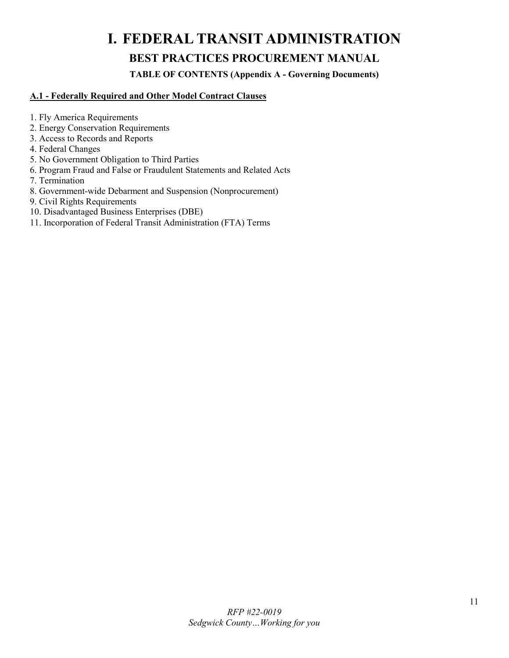# **I. FEDERAL TRANSIT ADMINISTRATION**

# **BEST PRACTICES PROCUREMENT MANUAL**

**TABLE OF CONTENTS (Appendix A - Governing Documents)** 

# **A.1 - Federally Required and Other Model Contract Clauses**

- 1. Fly America Requirements
- 2. Energy Conservation Requirements
- 3. Access to Records and Reports
- 4. Federal Changes
- 5. No Government Obligation to Third Parties
- 6. Program Fraud and False or Fraudulent Statements and Related Acts
- 7. Termination
- 8. Government-wide Debarment and Suspension (Nonprocurement)
- 9. Civil Rights Requirements
- 10. Disadvantaged Business Enterprises (DBE)
- 11. Incorporation of Federal Transit Administration (FTA) Terms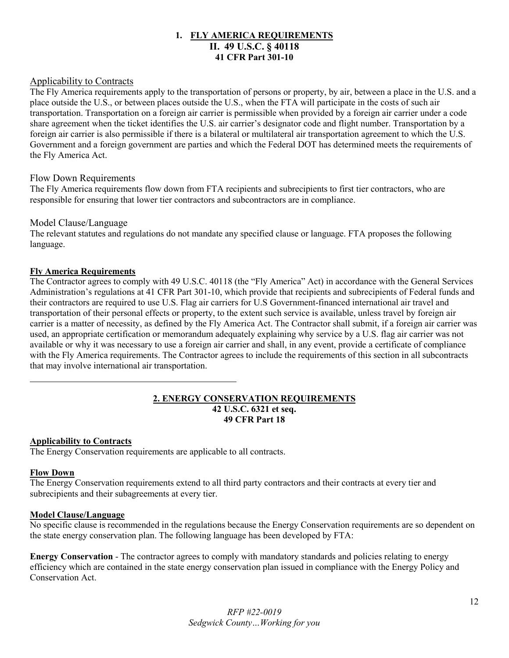# **1. FLY AMERICA REQUIREMENTS II. 49 U.S.C. § 40118 41 CFR Part 301-10**

# Applicability to Contracts

The Fly America requirements apply to the transportation of persons or property, by air, between a place in the U.S. and a place outside the U.S., or between places outside the U.S., when the FTA will participate in the costs of such air transportation. Transportation on a foreign air carrier is permissible when provided by a foreign air carrier under a code share agreement when the ticket identifies the U.S. air carrier's designator code and flight number. Transportation by a foreign air carrier is also permissible if there is a bilateral or multilateral air transportation agreement to which the U.S. Government and a foreign government are parties and which the Federal DOT has determined meets the requirements of the Fly America Act.

#### Flow Down Requirements

The Fly America requirements flow down from FTA recipients and subrecipients to first tier contractors, who are responsible for ensuring that lower tier contractors and subcontractors are in compliance.

#### Model Clause/Language

The relevant statutes and regulations do not mandate any specified clause or language. FTA proposes the following language.

#### **Fly America Requirements**

The Contractor agrees to comply with 49 U.S.C. 40118 (the "Fly America" Act) in accordance with the General Services Administration's regulations at 41 CFR Part 301-10, which provide that recipients and subrecipients of Federal funds and their contractors are required to use U.S. Flag air carriers for U.S Government-financed international air travel and transportation of their personal effects or property, to the extent such service is available, unless travel by foreign air carrier is a matter of necessity, as defined by the Fly America Act. The Contractor shall submit, if a foreign air carrier was used, an appropriate certification or memorandum adequately explaining why service by a U.S. flag air carrier was not available or why it was necessary to use a foreign air carrier and shall, in any event, provide a certificate of compliance with the Fly America requirements. The Contractor agrees to include the requirements of this section in all subcontracts that may involve international air transportation.

#### **2. ENERGY CONSERVATION REQUIREMENTS 42 U.S.C. 6321 et seq. 49 CFR Part 18**

#### **Applicability to Contracts**

The Energy Conservation requirements are applicable to all contracts.

#### **Flow Down**

The Energy Conservation requirements extend to all third party contractors and their contracts at every tier and subrecipients and their subagreements at every tier.

#### **Model Clause/Language**

No specific clause is recommended in the regulations because the Energy Conservation requirements are so dependent on the state energy conservation plan. The following language has been developed by FTA:

**Energy Conservation** - The contractor agrees to comply with mandatory standards and policies relating to energy efficiency which are contained in the state energy conservation plan issued in compliance with the Energy Policy and Conservation Act.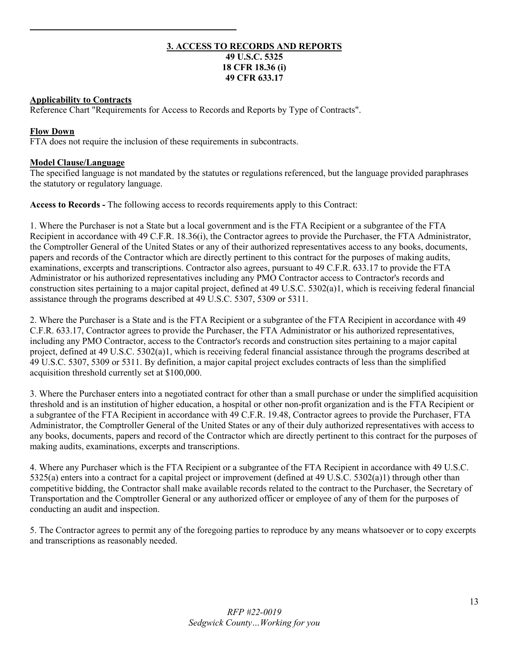### **3. ACCESS TO RECORDS AND REPORTS 49 U.S.C. 5325 18 CFR 18.36 (i) 49 CFR 633.17**

#### **Applicability to Contracts**

Reference Chart "Requirements for Access to Records and Reports by Type of Contracts".

#### **Flow Down**

FTA does not require the inclusion of these requirements in subcontracts.

#### **Model Clause/Language**

The specified language is not mandated by the statutes or regulations referenced, but the language provided paraphrases the statutory or regulatory language.

**Access to Records -** The following access to records requirements apply to this Contract:

1. Where the Purchaser is not a State but a local government and is the FTA Recipient or a subgrantee of the FTA Recipient in accordance with 49 C.F.R. 18.36(i), the Contractor agrees to provide the Purchaser, the FTA Administrator, the Comptroller General of the United States or any of their authorized representatives access to any books, documents, papers and records of the Contractor which are directly pertinent to this contract for the purposes of making audits, examinations, excerpts and transcriptions. Contractor also agrees, pursuant to 49 C.F.R. 633.17 to provide the FTA Administrator or his authorized representatives including any PMO Contractor access to Contractor's records and construction sites pertaining to a major capital project, defined at 49 U.S.C. 5302(a)1, which is receiving federal financial assistance through the programs described at 49 U.S.C. 5307, 5309 or 5311.

2. Where the Purchaser is a State and is the FTA Recipient or a subgrantee of the FTA Recipient in accordance with 49 C.F.R. 633.17, Contractor agrees to provide the Purchaser, the FTA Administrator or his authorized representatives, including any PMO Contractor, access to the Contractor's records and construction sites pertaining to a major capital project, defined at 49 U.S.C. 5302(a)1, which is receiving federal financial assistance through the programs described at 49 U.S.C. 5307, 5309 or 5311. By definition, a major capital project excludes contracts of less than the simplified acquisition threshold currently set at \$100,000.

3. Where the Purchaser enters into a negotiated contract for other than a small purchase or under the simplified acquisition threshold and is an institution of higher education, a hospital or other non-profit organization and is the FTA Recipient or a subgrantee of the FTA Recipient in accordance with 49 C.F.R. 19.48, Contractor agrees to provide the Purchaser, FTA Administrator, the Comptroller General of the United States or any of their duly authorized representatives with access to any books, documents, papers and record of the Contractor which are directly pertinent to this contract for the purposes of making audits, examinations, excerpts and transcriptions.

4. Where any Purchaser which is the FTA Recipient or a subgrantee of the FTA Recipient in accordance with 49 U.S.C. 5325(a) enters into a contract for a capital project or improvement (defined at 49 U.S.C. 5302(a)1) through other than competitive bidding, the Contractor shall make available records related to the contract to the Purchaser, the Secretary of Transportation and the Comptroller General or any authorized officer or employee of any of them for the purposes of conducting an audit and inspection.

5. The Contractor agrees to permit any of the foregoing parties to reproduce by any means whatsoever or to copy excerpts and transcriptions as reasonably needed.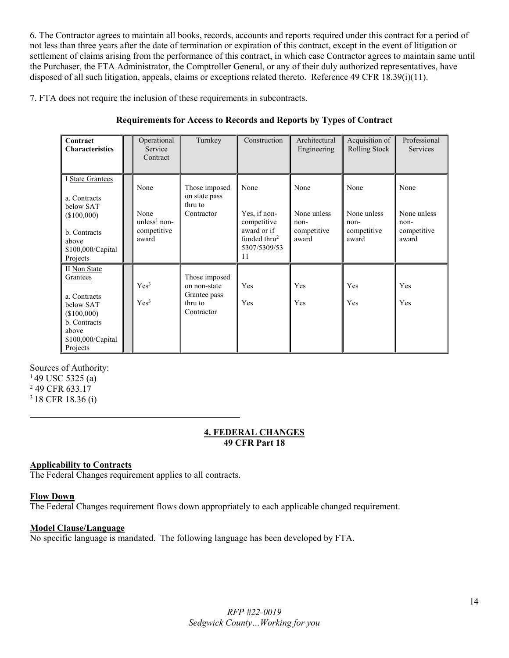6. The Contractor agrees to maintain all books, records, accounts and reports required under this contract for a period of not less than three years after the date of termination or expiration of this contract, except in the event of litigation or settlement of claims arising from the performance of this contract, in which case Contractor agrees to maintain same until the Purchaser, the FTA Administrator, the Comptroller General, or any of their duly authorized representatives, have disposed of all such litigation, appeals, claims or exceptions related thereto. Reference 49 CFR 18.39(i)(11).

7. FTA does not require the inclusion of these requirements in subcontracts.

| Contract<br><b>Characteristics</b>                                                                                             | Operational<br>Service<br>Contract                     | Turnkey                                                                | Construction                                                                                         | Architectural<br>Engineering                        | Acquisition of<br>Rolling Stock                     | Professional<br>Services                            |
|--------------------------------------------------------------------------------------------------------------------------------|--------------------------------------------------------|------------------------------------------------------------------------|------------------------------------------------------------------------------------------------------|-----------------------------------------------------|-----------------------------------------------------|-----------------------------------------------------|
| I State Grantees<br>a. Contracts<br>below SAT<br>(\$100,000)<br>b. Contracts<br>above<br>\$100,000/Capital<br>Projects         | None<br>None<br>$unless1 non-$<br>competitive<br>award | Those imposed<br>on state pass<br>thru to<br>Contractor                | None<br>Yes, if non-<br>competitive<br>award or if<br>funded thru <sup>2</sup><br>5307/5309/53<br>11 | None<br>None unless<br>non-<br>competitive<br>award | None<br>None unless<br>non-<br>competitive<br>award | None<br>None unless<br>non-<br>competitive<br>award |
| II Non State<br>Grantees<br>a. Contracts<br>below SAT<br>(\$100,000)<br>b. Contracts<br>above<br>\$100,000/Capital<br>Projects | Yes <sup>3</sup><br>Yes <sup>3</sup>                   | Those imposed<br>on non-state<br>Grantee pass<br>thru to<br>Contractor | Yes<br>Yes                                                                                           | Yes<br>Yes                                          | Yes<br>Yes                                          | Yes<br>Yes                                          |

# **Requirements for Access to Records and Reports by Types of Contract**

Sources of Authority:  $149$  USC 5325 (a) 2 49 CFR 633.17 3 18 CFR 18.36 (i)

#### **4. FEDERAL CHANGES 49 CFR Part 18**

# **Applicability to Contracts**

The Federal Changes requirement applies to all contracts.

# **Flow Down**

The Federal Changes requirement flows down appropriately to each applicable changed requirement.

# **Model Clause/Language**

No specific language is mandated. The following language has been developed by FTA.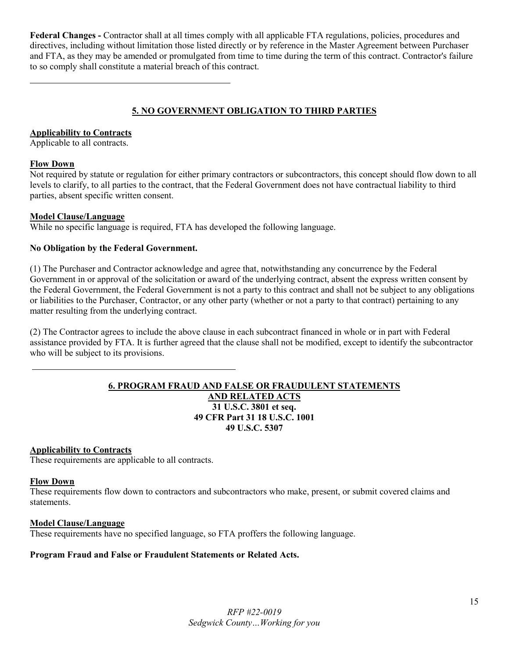**Federal Changes -** Contractor shall at all times comply with all applicable FTA regulations, policies, procedures and directives, including without limitation those listed directly or by reference in the Master Agreement between Purchaser and FTA, as they may be amended or promulgated from time to time during the term of this contract. Contractor's failure to so comply shall constitute a material breach of this contract.

# **5. NO GOVERNMENT OBLIGATION TO THIRD PARTIES**

### **Applicability to Contracts**

Applicable to all contracts.

#### **Flow Down**

Not required by statute or regulation for either primary contractors or subcontractors, this concept should flow down to all levels to clarify, to all parties to the contract, that the Federal Government does not have contractual liability to third parties, absent specific written consent.

#### **Model Clause/Language**

While no specific language is required, FTA has developed the following language.

#### **No Obligation by the Federal Government.**

(1) The Purchaser and Contractor acknowledge and agree that, notwithstanding any concurrence by the Federal Government in or approval of the solicitation or award of the underlying contract, absent the express written consent by the Federal Government, the Federal Government is not a party to this contract and shall not be subject to any obligations or liabilities to the Purchaser, Contractor, or any other party (whether or not a party to that contract) pertaining to any matter resulting from the underlying contract.

(2) The Contractor agrees to include the above clause in each subcontract financed in whole or in part with Federal assistance provided by FTA. It is further agreed that the clause shall not be modified, except to identify the subcontractor who will be subject to its provisions.

#### **6. PROGRAM FRAUD AND FALSE OR FRAUDULENT STATEMENTS AND RELATED ACTS 31 U.S.C. 3801 et seq. 49 CFR Part 31 18 U.S.C. 1001 49 U.S.C. 5307**

#### **Applicability to Contracts**

These requirements are applicable to all contracts.

#### **Flow Down**

These requirements flow down to contractors and subcontractors who make, present, or submit covered claims and statements.

#### **Model Clause/Language**

These requirements have no specified language, so FTA proffers the following language.

#### **Program Fraud and False or Fraudulent Statements or Related Acts.**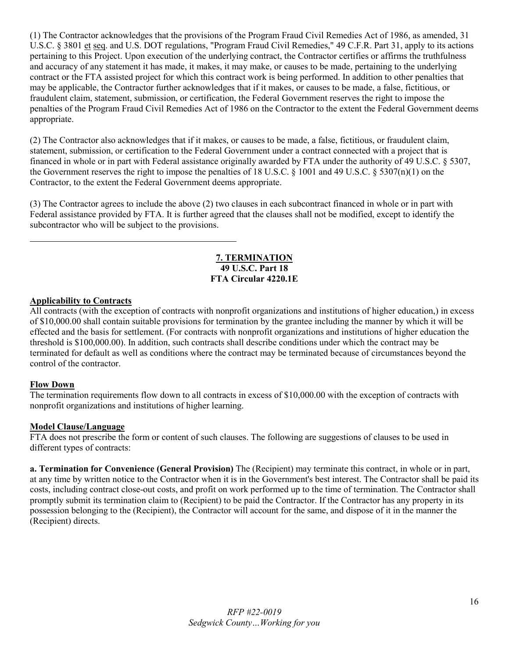(1) The Contractor acknowledges that the provisions of the Program Fraud Civil Remedies Act of 1986, as amended, 31 U.S.C. § 3801 et seq. and U.S. DOT regulations, "Program Fraud Civil Remedies," 49 C.F.R. Part 31, apply to its actions pertaining to this Project. Upon execution of the underlying contract, the Contractor certifies or affirms the truthfulness and accuracy of any statement it has made, it makes, it may make, or causes to be made, pertaining to the underlying contract or the FTA assisted project for which this contract work is being performed. In addition to other penalties that may be applicable, the Contractor further acknowledges that if it makes, or causes to be made, a false, fictitious, or fraudulent claim, statement, submission, or certification, the Federal Government reserves the right to impose the penalties of the Program Fraud Civil Remedies Act of 1986 on the Contractor to the extent the Federal Government deems appropriate.

(2) The Contractor also acknowledges that if it makes, or causes to be made, a false, fictitious, or fraudulent claim, statement, submission, or certification to the Federal Government under a contract connected with a project that is financed in whole or in part with Federal assistance originally awarded by FTA under the authority of 49 U.S.C. § 5307, the Government reserves the right to impose the penalties of 18 U.S.C. § 1001 and 49 U.S.C. § 5307(n)(1) on the Contractor, to the extent the Federal Government deems appropriate.

(3) The Contractor agrees to include the above (2) two clauses in each subcontract financed in whole or in part with Federal assistance provided by FTA. It is further agreed that the clauses shall not be modified, except to identify the subcontractor who will be subject to the provisions.

# **7. TERMINATION 49 U.S.C. Part 18 FTA Circular 4220.1E**

#### **Applicability to Contracts**

All contracts (with the exception of contracts with nonprofit organizations and institutions of higher education,) in excess of \$10,000.00 shall contain suitable provisions for termination by the grantee including the manner by which it will be effected and the basis for settlement. (For contracts with nonprofit organizations and institutions of higher education the threshold is \$100,000.00). In addition, such contracts shall describe conditions under which the contract may be terminated for default as well as conditions where the contract may be terminated because of circumstances beyond the control of the contractor.

#### **Flow Down**

The termination requirements flow down to all contracts in excess of \$10,000.00 with the exception of contracts with nonprofit organizations and institutions of higher learning.

#### **Model Clause/Language**

FTA does not prescribe the form or content of such clauses. The following are suggestions of clauses to be used in different types of contracts:

**a. Termination for Convenience (General Provision)** The (Recipient) may terminate this contract, in whole or in part, at any time by written notice to the Contractor when it is in the Government's best interest. The Contractor shall be paid its costs, including contract close-out costs, and profit on work performed up to the time of termination. The Contractor shall promptly submit its termination claim to (Recipient) to be paid the Contractor. If the Contractor has any property in its possession belonging to the (Recipient), the Contractor will account for the same, and dispose of it in the manner the (Recipient) directs.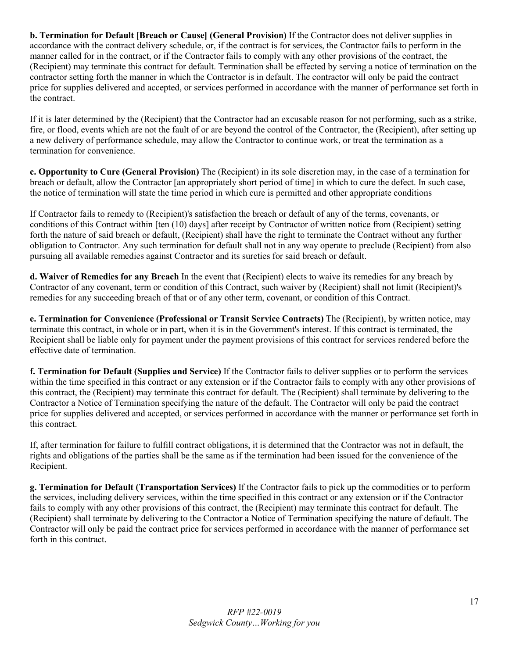**b. Termination for Default [Breach or Cause] (General Provision)** If the Contractor does not deliver supplies in accordance with the contract delivery schedule, or, if the contract is for services, the Contractor fails to perform in the manner called for in the contract, or if the Contractor fails to comply with any other provisions of the contract, the (Recipient) may terminate this contract for default. Termination shall be effected by serving a notice of termination on the contractor setting forth the manner in which the Contractor is in default. The contractor will only be paid the contract price for supplies delivered and accepted, or services performed in accordance with the manner of performance set forth in the contract.

If it is later determined by the (Recipient) that the Contractor had an excusable reason for not performing, such as a strike, fire, or flood, events which are not the fault of or are beyond the control of the Contractor, the (Recipient), after setting up a new delivery of performance schedule, may allow the Contractor to continue work, or treat the termination as a termination for convenience.

**c. Opportunity to Cure (General Provision)** The (Recipient) in its sole discretion may, in the case of a termination for breach or default, allow the Contractor [an appropriately short period of time] in which to cure the defect. In such case, the notice of termination will state the time period in which cure is permitted and other appropriate conditions

If Contractor fails to remedy to (Recipient)'s satisfaction the breach or default of any of the terms, covenants, or conditions of this Contract within [ten (10) days] after receipt by Contractor of written notice from (Recipient) setting forth the nature of said breach or default, (Recipient) shall have the right to terminate the Contract without any further obligation to Contractor. Any such termination for default shall not in any way operate to preclude (Recipient) from also pursuing all available remedies against Contractor and its sureties for said breach or default.

**d. Waiver of Remedies for any Breach** In the event that (Recipient) elects to waive its remedies for any breach by Contractor of any covenant, term or condition of this Contract, such waiver by (Recipient) shall not limit (Recipient)'s remedies for any succeeding breach of that or of any other term, covenant, or condition of this Contract.

**e. Termination for Convenience (Professional or Transit Service Contracts)** The (Recipient), by written notice, may terminate this contract, in whole or in part, when it is in the Government's interest. If this contract is terminated, the Recipient shall be liable only for payment under the payment provisions of this contract for services rendered before the effective date of termination.

**f. Termination for Default (Supplies and Service)** If the Contractor fails to deliver supplies or to perform the services within the time specified in this contract or any extension or if the Contractor fails to comply with any other provisions of this contract, the (Recipient) may terminate this contract for default. The (Recipient) shall terminate by delivering to the Contractor a Notice of Termination specifying the nature of the default. The Contractor will only be paid the contract price for supplies delivered and accepted, or services performed in accordance with the manner or performance set forth in this contract.

If, after termination for failure to fulfill contract obligations, it is determined that the Contractor was not in default, the rights and obligations of the parties shall be the same as if the termination had been issued for the convenience of the Recipient.

**g. Termination for Default (Transportation Services)** If the Contractor fails to pick up the commodities or to perform the services, including delivery services, within the time specified in this contract or any extension or if the Contractor fails to comply with any other provisions of this contract, the (Recipient) may terminate this contract for default. The (Recipient) shall terminate by delivering to the Contractor a Notice of Termination specifying the nature of default. The Contractor will only be paid the contract price for services performed in accordance with the manner of performance set forth in this contract.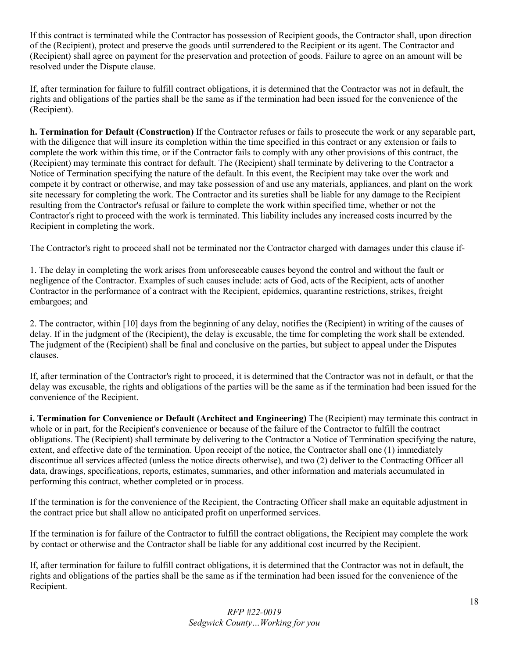If this contract is terminated while the Contractor has possession of Recipient goods, the Contractor shall, upon direction of the (Recipient), protect and preserve the goods until surrendered to the Recipient or its agent. The Contractor and (Recipient) shall agree on payment for the preservation and protection of goods. Failure to agree on an amount will be resolved under the Dispute clause.

If, after termination for failure to fulfill contract obligations, it is determined that the Contractor was not in default, the rights and obligations of the parties shall be the same as if the termination had been issued for the convenience of the (Recipient).

**h. Termination for Default (Construction)** If the Contractor refuses or fails to prosecute the work or any separable part, with the diligence that will insure its completion within the time specified in this contract or any extension or fails to complete the work within this time, or if the Contractor fails to comply with any other provisions of this contract, the (Recipient) may terminate this contract for default. The (Recipient) shall terminate by delivering to the Contractor a Notice of Termination specifying the nature of the default. In this event, the Recipient may take over the work and compete it by contract or otherwise, and may take possession of and use any materials, appliances, and plant on the work site necessary for completing the work. The Contractor and its sureties shall be liable for any damage to the Recipient resulting from the Contractor's refusal or failure to complete the work within specified time, whether or not the Contractor's right to proceed with the work is terminated. This liability includes any increased costs incurred by the Recipient in completing the work.

The Contractor's right to proceed shall not be terminated nor the Contractor charged with damages under this clause if-

1. The delay in completing the work arises from unforeseeable causes beyond the control and without the fault or negligence of the Contractor. Examples of such causes include: acts of God, acts of the Recipient, acts of another Contractor in the performance of a contract with the Recipient, epidemics, quarantine restrictions, strikes, freight embargoes; and

2. The contractor, within [10] days from the beginning of any delay, notifies the (Recipient) in writing of the causes of delay. If in the judgment of the (Recipient), the delay is excusable, the time for completing the work shall be extended. The judgment of the (Recipient) shall be final and conclusive on the parties, but subject to appeal under the Disputes clauses.

If, after termination of the Contractor's right to proceed, it is determined that the Contractor was not in default, or that the delay was excusable, the rights and obligations of the parties will be the same as if the termination had been issued for the convenience of the Recipient.

**i. Termination for Convenience or Default (Architect and Engineering)** The (Recipient) may terminate this contract in whole or in part, for the Recipient's convenience or because of the failure of the Contractor to fulfill the contract obligations. The (Recipient) shall terminate by delivering to the Contractor a Notice of Termination specifying the nature, extent, and effective date of the termination. Upon receipt of the notice, the Contractor shall one (1) immediately discontinue all services affected (unless the notice directs otherwise), and two (2) deliver to the Contracting Officer all data, drawings, specifications, reports, estimates, summaries, and other information and materials accumulated in performing this contract, whether completed or in process.

If the termination is for the convenience of the Recipient, the Contracting Officer shall make an equitable adjustment in the contract price but shall allow no anticipated profit on unperformed services.

If the termination is for failure of the Contractor to fulfill the contract obligations, the Recipient may complete the work by contact or otherwise and the Contractor shall be liable for any additional cost incurred by the Recipient.

If, after termination for failure to fulfill contract obligations, it is determined that the Contractor was not in default, the rights and obligations of the parties shall be the same as if the termination had been issued for the convenience of the Recipient.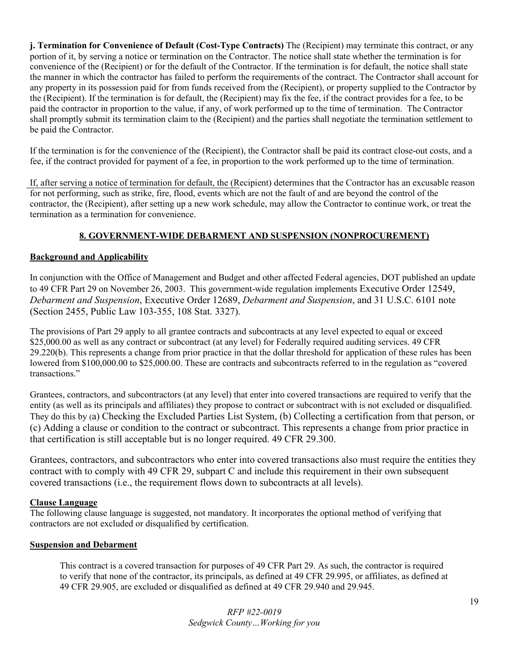**j. Termination for Convenience of Default (Cost-Type Contracts)** The (Recipient) may terminate this contract, or any portion of it, by serving a notice or termination on the Contractor. The notice shall state whether the termination is for convenience of the (Recipient) or for the default of the Contractor. If the termination is for default, the notice shall state the manner in which the contractor has failed to perform the requirements of the contract. The Contractor shall account for any property in its possession paid for from funds received from the (Recipient), or property supplied to the Contractor by the (Recipient). If the termination is for default, the (Recipient) may fix the fee, if the contract provides for a fee, to be paid the contractor in proportion to the value, if any, of work performed up to the time of termination. The Contractor shall promptly submit its termination claim to the (Recipient) and the parties shall negotiate the termination settlement to be paid the Contractor.

If the termination is for the convenience of the (Recipient), the Contractor shall be paid its contract close-out costs, and a fee, if the contract provided for payment of a fee, in proportion to the work performed up to the time of termination.

If, after serving a notice of termination for default, the (Recipient) determines that the Contractor has an excusable reason for not performing, such as strike, fire, flood, events which are not the fault of and are beyond the control of the contractor, the (Recipient), after setting up a new work schedule, may allow the Contractor to continue work, or treat the termination as a termination for convenience.

# **8. GOVERNMENT-WIDE DEBARMENT AND SUSPENSION (NONPROCUREMENT)**

# **Background and Applicability**

In conjunction with the Office of Management and Budget and other affected Federal agencies, DOT published an update to 49 CFR Part 29 on November 26, 2003. This government-wide regulation implements Executive Order 12549, *Debarment and Suspension*, Executive Order 12689, *Debarment and Suspension*, and 31 U.S.C. 6101 note (Section 2455, Public Law 103-355, 108 Stat. 3327).

The provisions of Part 29 apply to all grantee contracts and subcontracts at any level expected to equal or exceed \$25,000.00 as well as any contract or subcontract (at any level) for Federally required auditing services. 49 CFR 29.220(b). This represents a change from prior practice in that the dollar threshold for application of these rules has been lowered from \$100,000.00 to \$25,000.00. These are contracts and subcontracts referred to in the regulation as "covered transactions."

Grantees, contractors, and subcontractors (at any level) that enter into covered transactions are required to verify that the entity (as well as its principals and affiliates) they propose to contract or subcontract with is not excluded or disqualified. They do this by (a) Checking the Excluded Parties List System, (b) Collecting a certification from that person, or (c) Adding a clause or condition to the contract or subcontract. This represents a change from prior practice in that certification is still acceptable but is no longer required. 49 CFR 29.300.

Grantees, contractors, and subcontractors who enter into covered transactions also must require the entities they contract with to comply with 49 CFR 29, subpart C and include this requirement in their own subsequent covered transactions (i.e., the requirement flows down to subcontracts at all levels).

#### **Clause Language**

The following clause language is suggested, not mandatory. It incorporates the optional method of verifying that contractors are not excluded or disqualified by certification.

#### **Suspension and Debarment**

This contract is a covered transaction for purposes of 49 CFR Part 29. As such, the contractor is required to verify that none of the contractor, its principals, as defined at 49 CFR 29.995, or affiliates, as defined at 49 CFR 29.905, are excluded or disqualified as defined at 49 CFR 29.940 and 29.945.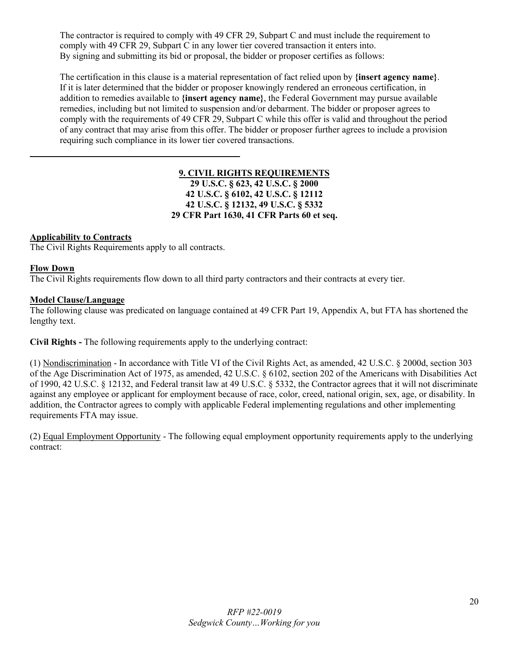The contractor is required to comply with 49 CFR 29, Subpart C and must include the requirement to comply with 49 CFR 29, Subpart C in any lower tier covered transaction it enters into. By signing and submitting its bid or proposal, the bidder or proposer certifies as follows:

The certification in this clause is a material representation of fact relied upon by **{insert agency name}**. If it is later determined that the bidder or proposer knowingly rendered an erroneous certification, in addition to remedies available to **{insert agency name}**, the Federal Government may pursue available remedies, including but not limited to suspension and/or debarment. The bidder or proposer agrees to comply with the requirements of 49 CFR 29, Subpart C while this offer is valid and throughout the period of any contract that may arise from this offer. The bidder or proposer further agrees to include a provision requiring such compliance in its lower tier covered transactions.

# **9. CIVIL RIGHTS REQUIREMENTS 29 U.S.C. § 623, 42 U.S.C. § 2000 42 U.S.C. § 6102, 42 U.S.C. § 12112 42 U.S.C. § 12132, 49 U.S.C. § 5332 29 CFR Part 1630, 41 CFR Parts 60 et seq.**

# **Applicability to Contracts**

The Civil Rights Requirements apply to all contracts.

#### **Flow Down**

The Civil Rights requirements flow down to all third party contractors and their contracts at every tier.

#### **Model Clause/Language**

The following clause was predicated on language contained at 49 CFR Part 19, Appendix A, but FTA has shortened the lengthy text.

**Civil Rights -** The following requirements apply to the underlying contract:

(1) Nondiscrimination - In accordance with Title VI of the Civil Rights Act, as amended, 42 U.S.C. § 2000d, section 303 of the Age Discrimination Act of 1975, as amended, 42 U.S.C. § 6102, section 202 of the Americans with Disabilities Act of 1990, 42 U.S.C. § 12132, and Federal transit law at 49 U.S.C. § 5332, the Contractor agrees that it will not discriminate against any employee or applicant for employment because of race, color, creed, national origin, sex, age, or disability. In addition, the Contractor agrees to comply with applicable Federal implementing regulations and other implementing requirements FTA may issue.

(2) Equal Employment Opportunity - The following equal employment opportunity requirements apply to the underlying contract: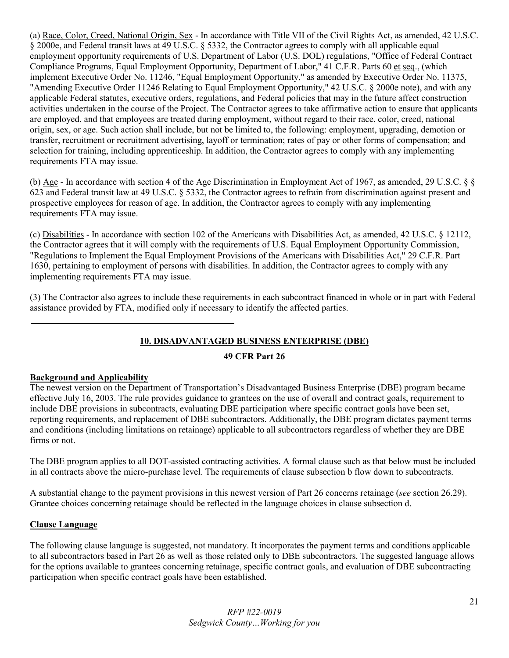(a) Race, Color, Creed, National Origin, Sex - In accordance with Title VII of the Civil Rights Act, as amended, 42 U.S.C. § 2000e, and Federal transit laws at 49 U.S.C. § 5332, the Contractor agrees to comply with all applicable equal employment opportunity requirements of U.S. Department of Labor (U.S. DOL) regulations, "Office of Federal Contract Compliance Programs, Equal Employment Opportunity, Department of Labor," 41 C.F.R. Parts 60 et seq., (which implement Executive Order No. 11246, "Equal Employment Opportunity," as amended by Executive Order No. 11375, "Amending Executive Order 11246 Relating to Equal Employment Opportunity," 42 U.S.C. § 2000e note), and with any applicable Federal statutes, executive orders, regulations, and Federal policies that may in the future affect construction activities undertaken in the course of the Project. The Contractor agrees to take affirmative action to ensure that applicants are employed, and that employees are treated during employment, without regard to their race, color, creed, national origin, sex, or age. Such action shall include, but not be limited to, the following: employment, upgrading, demotion or transfer, recruitment or recruitment advertising, layoff or termination; rates of pay or other forms of compensation; and selection for training, including apprenticeship. In addition, the Contractor agrees to comply with any implementing requirements FTA may issue.

(b) Age - In accordance with section 4 of the Age Discrimination in Employment Act of 1967, as amended, 29 U.S.C. § § 623 and Federal transit law at 49 U.S.C. § 5332, the Contractor agrees to refrain from discrimination against present and prospective employees for reason of age. In addition, the Contractor agrees to comply with any implementing requirements FTA may issue.

(c) Disabilities - In accordance with section 102 of the Americans with Disabilities Act, as amended, 42 U.S.C. § 12112, the Contractor agrees that it will comply with the requirements of U.S. Equal Employment Opportunity Commission, "Regulations to Implement the Equal Employment Provisions of the Americans with Disabilities Act," 29 C.F.R. Part 1630, pertaining to employment of persons with disabilities. In addition, the Contractor agrees to comply with any implementing requirements FTA may issue.

(3) The Contractor also agrees to include these requirements in each subcontract financed in whole or in part with Federal assistance provided by FTA, modified only if necessary to identify the affected parties.

# **10. DISADVANTAGED BUSINESS ENTERPRISE (DBE)**

# **49 CFR Part 26**

# **Background and Applicability**

The newest version on the Department of Transportation's Disadvantaged Business Enterprise (DBE) program became effective July 16, 2003. The rule provides guidance to grantees on the use of overall and contract goals, requirement to include DBE provisions in subcontracts, evaluating DBE participation where specific contract goals have been set, reporting requirements, and replacement of DBE subcontractors. Additionally, the DBE program dictates payment terms and conditions (including limitations on retainage) applicable to all subcontractors regardless of whether they are DBE firms or not.

The DBE program applies to all DOT-assisted contracting activities. A formal clause such as that below must be included in all contracts above the micro-purchase level. The requirements of clause subsection b flow down to subcontracts.

A substantial change to the payment provisions in this newest version of Part 26 concerns retainage (*see* section 26.29). Grantee choices concerning retainage should be reflected in the language choices in clause subsection d.

#### **Clause Language**

The following clause language is suggested, not mandatory. It incorporates the payment terms and conditions applicable to all subcontractors based in Part 26 as well as those related only to DBE subcontractors. The suggested language allows for the options available to grantees concerning retainage, specific contract goals, and evaluation of DBE subcontracting participation when specific contract goals have been established.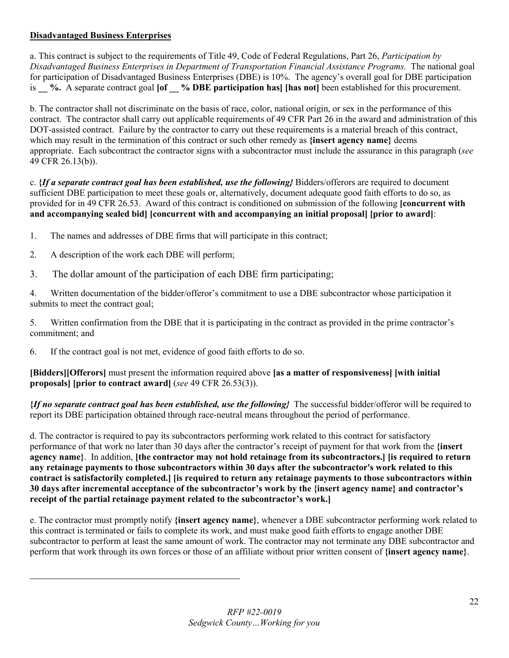# **Disadvantaged Business Enterprises**

a. This contract is subject to the requirements of Title 49, Code of Federal Regulations, Part 26, *Participation by Disadvantaged Business Enterprises in Department of Transportation Financial Assistance Programs.* The national goal for participation of Disadvantaged Business Enterprises (DBE) is 10%. The agency's overall goal for DBE participation is **\_\_ %.** A separate contract goal **[of \_\_ % DBE participation has] [has not]** been established for this procurement.

b. The contractor shall not discriminate on the basis of race, color, national origin, or sex in the performance of this contract. The contractor shall carry out applicable requirements of 49 CFR Part 26 in the award and administration of this DOT-assisted contract. Failure by the contractor to carry out these requirements is a material breach of this contract, which may result in the termination of this contract or such other remedy as **{insert agency name}** deems appropriate. Each subcontract the contractor signs with a subcontractor must include the assurance in this paragraph (*see* 49 CFR 26.13(b)).

c. **{***If a separate contract goal has been established, use the following}* Bidders/offerors are required to document sufficient DBE participation to meet these goals or, alternatively, document adequate good faith efforts to do so, as provided for in 49 CFR 26.53. Award of this contract is conditioned on submission of the following **[concurrent with and accompanying sealed bid] [concurrent with and accompanying an initial proposal] [prior to award]**:

- 1. The names and addresses of DBE firms that will participate in this contract;
- 2. A description of the work each DBE will perform;
- 3. The dollar amount of the participation of each DBE firm participating;

4. Written documentation of the bidder/offeror's commitment to use a DBE subcontractor whose participation it submits to meet the contract goal;

5. Written confirmation from the DBE that it is participating in the contract as provided in the prime contractor's commitment; and

6. If the contract goal is not met, evidence of good faith efforts to do so.

**[Bidders][Offerors]** must present the information required above **[as a matter of responsiveness] [with initial proposals] [prior to contract award]** (*see* 49 CFR 26.53(3)).

**{***If no separate contract goal has been established, use the following}* The successful bidder/offeror will be required to report its DBE participation obtained through race-neutral means throughout the period of performance.

d. The contractor is required to pay its subcontractors performing work related to this contract for satisfactory performance of that work no later than 30 days after the contractor's receipt of payment for that work from the **{insert agency name}**. In addition, **[the contractor may not hold retainage from its subcontractors.] [is required to return any retainage payments to those subcontractors within 30 days after the subcontractor's work related to this contract is satisfactorily completed.] [is required to return any retainage payments to those subcontractors within 30 days after incremental acceptance of the subcontractor's work by the {insert agency name} and contractor's receipt of the partial retainage payment related to the subcontractor's work.]**

e. The contractor must promptly notify **{insert agency name}**, whenever a DBE subcontractor performing work related to this contract is terminated or fails to complete its work, and must make good faith efforts to engage another DBE subcontractor to perform at least the same amount of work. The contractor may not terminate any DBE subcontractor and perform that work through its own forces or those of an affiliate without prior written consent of **{insert agency name}**.